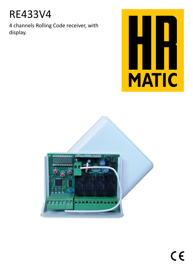# RE433V4

4 channels Rolling Code receiver, with display.



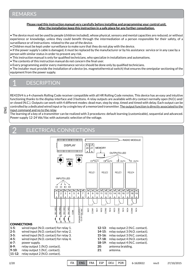# REMARKS

**Please read this instruction manual very carefully before installing and programming your control unit. After the installation keep this instruction in a safe place for any further consultation.**

• The device must not be used by people (children included), whose physical, sensory and mental capacities are reduced, or without experience or knowledge, unless they could benefit through the intermediation of a person responsible for their safety, of a surveillance or of instructions related to the use of the device.

• Children must be kept under surveillance to make sure that they do not play with the device.

• If the power supply's cable is damaged, it must be replaced by the manufacturer or by his assistance service or in any case by a person with similar status in order to prevent any risk.

• This instruction manual is only for qualified technicians, who specialize in installations and automations.

- The contents of this instruction manual do not concern the final user.
- Every programming and/or every maintenance service should be done only by qualified technicians.

• The installer must provide the installation of a device (es. magnetothermical switch) that ensures the omnipolar sectioning of the equipment from the power supply.

#### 1 **DESCRIPTION**

RE433V4 is a 4-channels Rolling Code receiver compatible with all HR Rolling Code remotes. This device has an easy and intuitive functioning thanks to the display interface and 3 buttons. 4 relay outputs are available with dry contact normally open (N.O.) and/ or closed (N.C.). Outputs can work with 4 different modes: dead man, step by step, timed and timed with delay. Each output can be controlled by a dedicated wired input or by a single key of a memorized transmitter. The output function is directly associated to the input command and no to the relay.

The learning of a key of a transmitter can be realized with 3 procedures: default learning (customizable), sequential and advanced. Power supply 12-24 Vdc/Vac with automatic selection of the voltage.

#### 2 ELECTRICAL CONNECTIONS

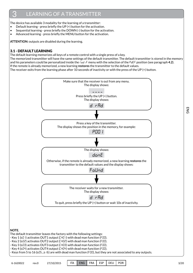## 3 LEARNING OF A TRANSMITTER

The device has available 3 modality for the learning of a transmitter:

- Default learning press briefly the UP  $(+)$  button for the activation.
- Sequential learning press briefly the DOWN (-) button for the activation.
- Advanced learning press briefly the MENU button for the activation.

**ATTENTION:** outputs are disabled during the learning.

# 3.1 - DEFAULT LEARNING

The default learning memorizes all keys of a remote control with a single press of a key.

The memorized transmitter will have the same settings of the default transmitter. The default transmitter is stored in the memory and his parameters could be personalized inside the mod if menu with the selection of the PdEF position (see paragraph 4.2). If the remote is already memorized, a new learning **restores** the transmitter to the default values.

The receiver exits from the learning phase after 10 seconds of inactivity or with the press of the UP (+) button.

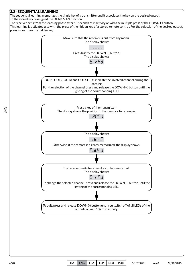

The sequential learning memorizes the single key of a transmitter and it associates the key on the desired output. To the stored key is assigned the DEAD MAN function.

The receiver exits from the learning phase after 10 seconds of inactivity or with the multiple press of the DOWN (-) button. This learning is activated also with the press of the hidden key of a stored remote control. For the selection of the desired output, press more times the hidden key.

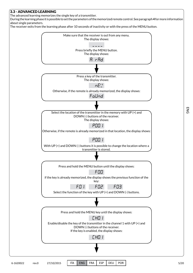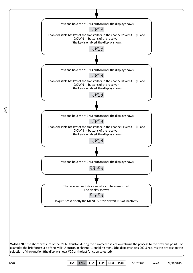

6/20 ITA ENG FRA ESP DEU POR 6-1620022 rev.0 27/10/2015

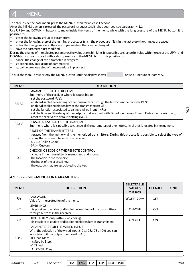#### 4 **MENU**

To enter inside the base menu, press the MENU button for at least 1 second.

After the MENU button is pressed, the password is requested, if it has been set (see paragraph **4.1.1**). Use UP (+) and DOWN (-) buttons to move inside the items of the menu, while with the long pressure of the MENU button it is possible to:

- enter the following group of parameters;
- enter the following step of the running process, or finish the procedure if it is in the last step (the changes are saved;
- enter the change mode, in the case of parameters that can be changed;
- save the parameter just modified.

During the change of the selected parameter, the value starts blinking. It is possible to change its value with the use of the UP[+] and DOWN[-] buttons. Instead, with a short pressure of the MENU button it is possible to:

- cancel the change of the parameter in progress;
- go to the previous group of parameters;
- go to the previous step of the procedure in progress.

 $\overline{\phantom{0}}$ To quit the menu, press briefly the MENU button until the display shows  $\overline{a} = \overline{a} = \overline{a}$ , or wait 1 minute of inactivity.

| <b>MENU</b>  | <b>DESCRIPTION</b>                                                                                                                                                                                                                                                                                                                                                                                                                                                                                                                                              |
|--------------|-----------------------------------------------------------------------------------------------------------------------------------------------------------------------------------------------------------------------------------------------------------------------------------------------------------------------------------------------------------------------------------------------------------------------------------------------------------------------------------------------------------------------------------------------------------------|
| <b>PR-BJ</b> | PARAMETERS OF THE RECEIVER<br>Sub-menu of the receiver where it is possible to:<br>- set the password $(P'_{-}d)$ ;<br>- enable/disable the learning of the transmitters through the buttons in the receiver (HEYb);<br>- enable/disable the hidden key of the transmitters (HI dE);<br>- set the function associated to a single wired input $(i \cap$ PUE);<br>- set the time and the delay of the outputs that are used with Timed function or Timed+Delay function ( $\epsilon$ $\vec{r}$ . $\vec{c}$ );<br>- reset the receiver to default settings (dEF). |
| GOdi F       | PERSONALIZATION OF THE TRANSMITTERS<br>Sub-menu where it is possible to change all the parameters of a remote control that is located in the memory.                                                                                                                                                                                                                                                                                                                                                                                                            |
| $E \cap F$   | RESET OF THE TRANSMITTERS<br>It erases from the memory all the memorized transmitters. During this process it is possible to select the type of<br>coding that you want to set to the receiver:<br>- b indl: Rolling Code;<br>- 58''n: Custom.                                                                                                                                                                                                                                                                                                                  |
| SEE.         | CHECKING MODE OF THE REMOTE CONTROL<br>It checks if the transmitter is memorized and shows:<br>- the location in the memory;<br>- the index of the pressed key;<br>- the outputs that are associated to the key.                                                                                                                                                                                                                                                                                                                                                |

# **4.1** Param **- SUB-MENU FOR PARAMETERS**

| <b>MENU</b> | <b>DESCRIPTION</b>                                                                                                                                                                                                                                                                | <b>SELECTABLE</b><br><b>VALUES</b><br>min-max | <b>DEFAULT</b> | <b>UNIT</b> |
|-------------|-----------------------------------------------------------------------------------------------------------------------------------------------------------------------------------------------------------------------------------------------------------------------------------|-----------------------------------------------|----------------|-------------|
| Pud         | <b>PASSWORD</b><br>Value for the protection of the menu.                                                                                                                                                                                                                          | 0(OFF)-9999                                   | <b>OFF</b>     |             |
| нечь        | <b>LEARNINGS</b><br>It is possible to enable or disable the learnings of the transmitters<br>through buttons in the receiver.                                                                                                                                                     | <b>ON-OFF</b>                                 | <b>ON</b>      |             |
| HI dE       | HIDDEN KEY (only with b in oll coding)<br>It is possible to enable or disable the hidden key of transmitters.                                                                                                                                                                     | <b>ON-OFF</b>                                 | <b>ON</b>      |             |
| t aPUE.     | PARAMETERS FOR THE WIRED INPUT<br>With the selection of the wired input $(1 \t 1 \t 1)$ , $1 \t 1 \t 1 \t 1 \t 1 \t 1$ o $1 \t 1 \t 1 \t 1$ you can<br>associate to it the output function (FUnEE):<br>- D: Dead Man;<br>- I: Step by Step;<br>$-2$ : Timed:<br>- 3: Timed+Delay. |                                               | $\Omega$       |             |

6-1620022 rev.0 27/10/2015 ITA ENG FRA ESP DEU POR 7/20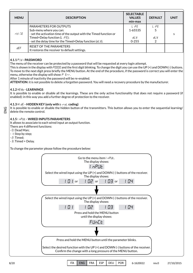| <b>MENU</b> | <b>DESCRIPTION</b>                                                                                                                                                                                                   | <b>SELECTABLE</b><br><b>VALUES</b><br>min-max | <b>DEFAULT</b> | <b>UNIT</b> |
|-------------|----------------------------------------------------------------------------------------------------------------------------------------------------------------------------------------------------------------------|-----------------------------------------------|----------------|-------------|
| r El GE     | PARAMETERS FOR OUTPUTS<br>Sub-menu where you can:<br>- set the activation time of the output with the Timed function or<br>Timed+Delay function (L IFE);<br>- set the delay time for the Timed+Delay function (dLY). | L IFE<br>1-65535<br>dL Y<br>$0 - 255$         | L IFE<br>4L Y  |             |
| dEF.        | RESET OF THE PARAMETERS<br>It restores the receiver to default settings.                                                                                                                                             |                                               |                |             |

## **4.1.1** PWD **- PASSWORD**

The menu of the receiver can be protected by a password that will be requested at every login attempt.

This is shown in the display with P0000 and the first digit blinking. To change the digit you can use the UP (+) and DOWN (-) buttons. To move to the next digit press briefly the MENU button. At the end of the procedure, if the password is correct you will enter the menu, otherwise the display will show:  $P$  Err.

After 1 minute of inactivity the password will be re-enabled.

**ATTENTION**: it is not possible to delete a forgotten password. You will need a recovery procedure by the manufacturer.

#### **4.1.2** Heyb **- LEARNINGS**

It is possible to enable or disable all the learnings. These are the only active functionality that does not require a password (if enabled): in this way you add a further degree of protection to the receiver.

#### **4.1.3** HIde **- HIDDEN KEY (only with** biroL **coding)**

It is possible to enable or disable the hidden button of the transmitters. This button allows you to enter the sequential learning/ delete the remote control.

#### **4.1.5** Input **- WIRED INPUTS PARAMETERS**

It allows to associate to each wired input an output function.

There are 4 different functions:

- 0: Dead Man; - 1: Step by step;

- 2: Timed;

ENG

- 3: Timed + Delay.

To change the parameter please follow the procedure below:

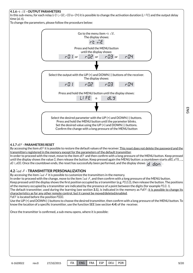#### **4.1.6** rtime **- OUTPUT PARAMETERS**

In this sub-menu, for each relay ( $-01$ ,  $-02$ ,  $-03$  o $-04$ ) it is possible to change the activation duration (LIFE) and the output delay time (dLy).

To change the parameters, please follow the procedure below:



#### **4.1.7** def **- PARAMETERS RESET**

By accessing the item dEF it is possible to restore the default values of the receiver. This reset does not delete the password and the transmitters registered in the memory except for the parameters of the default transmitter. In order to proceed with the reset, move to the item dEF and then confirm with a long pressure of the MENU button. Keep pressed

until the display shows the value  $0$ , then release the button. Keep pressed again the MENU button: a countdown starts  $dBD$ ,  $d79$ , ..., d0 I, d00. Once the countdown ends, the reset has successfully been performed, and the display shows  $\overline{\mathsf{d}}$   $\overline{\mathsf{d}}$  on  $\overline{\mathsf{d}}$ 

## **4.2** Modif **- TRANSMITTER PERSONALIZATION**

By accessing the item  $\vec{u}$  od  $\vec{F}$  it is possible to customize the transmitters in the memory.

In order to proceed with the change, move to the item  $\bar{u}$  od  $\bar{F}$ , and then confirm with a long pressure of the MENU button. Keep pressed until the display shows the first position occupied by a transmitter (e.g. P0.0.0), then release the button. The positions of the memory occupied by a transmitter are indicated by the presence of a point between the digits (for example P0.0.1). The default transmitter, used during the learning (see section 3.1), is indicated in the memory as PdEF: it is possible to change its characteristics as for any other remote control, but it cannot be moved/deleted/enabled. PdEF is located before the position P000.

Use the UP (+) and DOWN (-) buttons to choose the desired transmitter, then confirm with a long pressure of the MENU button. To know the location of a specific transmitter, use the function SEE (see section 4.4) of the receiver.

Once the transmitter is confirmed, a sub-menu opens, where it is possible: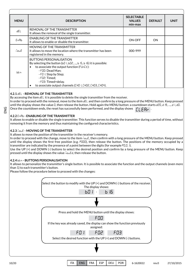| <b>MENU</b>  | <b>DESCRIPTION</b>                                                                                                                                                                                                                                                                                         | <b>SELECTABLE</b><br><b>VALUES</b><br>min-max | <b>DEFAULT</b> | <b>UNIT</b> |
|--------------|------------------------------------------------------------------------------------------------------------------------------------------------------------------------------------------------------------------------------------------------------------------------------------------------------------|-----------------------------------------------|----------------|-------------|
| dEL          | REMOVAL OF THE TRANSMITTER<br>It allows the removal of the single transmitter.                                                                                                                                                                                                                             |                                               |                |             |
| ЕпЯЬ         | <b>ENABLING OF THE TRANSMITTER</b><br>It allows to enable or disable the transmitter.                                                                                                                                                                                                                      | <b>ON-OFF</b>                                 | <b>ON</b>      |             |
| <b>FiguE</b> | MOVING OF THE TRANSMITTER<br>It allows to move the location where the transmitter has been<br>registered in the memory.                                                                                                                                                                                    | 000-999                                       |                |             |
| bbn.         | <b>BUTTONS PERSONALISATION</b><br>By selecting the button (bD I, bD2, , b 15, b 16) it is possible:<br>to associate the output function ( $FUnE$ ):<br>- F00: Dead Man:<br>- FD I: Step by Step;<br>$-FDZ$ : Timed;<br>- FD3: Timed+delay.<br>to associate output channels (CHO I, CHO2, CHO3, CHO4).<br>٠ |                                               |                |             |

# **4.2.1** deL **- REMOVAL OF THE TRANSMITTER**

By accessing the item  $dE$  it is possible to delete the single transmitter from the receiver. In order to proceed with the removal, move to the item  $dE_L$  and then confirm by a long pressure of the MENU button. Keep pressed until the display shows the value  $0$ , then release the button. Hold again the MENU button: a countdown starts d20, d 19, ..., d 1, d0. Once the countdown ends, the reset has successfully been performed, and the display shows .  $\Gamma$ i F $\Theta$ di

## **4.2.2** enAb **- ENABLING OF THE TRANSMITTER**

It allows to enable or disable the single transmitter. This function serves to disable the transmitter during a period of time, without removing it from the memory and thus maintaining the configured characteristics.

## **4.2.3 MOVING OF THE TRANSMITTER**

It allows to move the position of the transmitter in the receiver's memory.

In order to proceed with the change, move to the item  $\vec{u}$   $\vec{v}$ . then confirm with a long pressure of the MENU button. Keep pressed until the display shows the first free position (e.g.  $P000$ ), then release the button. The positions of the memory occupied by a transmitter are indicated by the presence of a point between the digits (for example  $PQQQI$ ).

Use the UP (+) and DOWN (-) buttons to select the desired position and confirm by a long pressure of the MENU button. Keep pressed until the display shows the value  $\bar{\omega}$ ouEd, then release the button.

#### **4.2.4** btn **- BUTTONS PERSONALISATION**

It allows to personalize the transmitter's single button. It is possible to associate the function and the output channels (even more than 1) to each transmitter's button.

Please follow the procedure below to proceed with the changes:

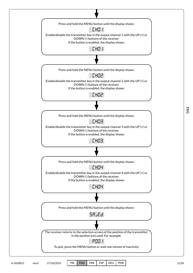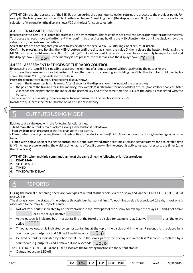**ATTENTION:** the short pressure of the MENU button during the parameter selection returns the process to the previous point. For example: the brief pressure of the MENU button in channel 1 enabling menu (the display shows [H01] returns the process to the selection of the function (the display shows F00 or the last function selected).

# **4.3 ErF - TRANSMITTERS RESET**

By accessing the item ErF it is possible to erase all the transmitters. This reset does not erase the general parameters of the receiver. To process the reset, move to the item  $E \in F$  then confirm by pressing and holding the MENU button. Hold until the display shows the value bird. then release the button.

Select the type of encoding that you want to assiociate to the receiver: b  $\ln L$  (Rolling Code) or 5 $H_{-}$ ' (Custom).

the display shows  $\vert\mathsf F\vert$   $\vert$  d  $\vert$   $\vert$  . If the memory is not present, the reset fails and the display shows  $\vert\mathsf F\mathsf F$   $\mathsf F\vert\cdot\vert$  . Confirm by pressing and holding the MENU button until the display shows the value  $0$ , then release the button. Hold again the MENU button: a countdown starts dBD, d79, ..., dD I, dDD. Once the countdown ends, the reset has successfully been performed, and

# **4.4** see **- ASSESSMENT METHODS OF THE RADIO CONTROL**

By accessing the item SEE it is possible to assess the learning of a remote control, without activating the output relays. To process the assessment move to the item 5EE and then confirm by pressing and holding the MENU button. Hold until the display shows the value  $Pr$  E55, then release the button.

Press the transmitter's button. The receiver display shows:

- not, if the transmitter is not learned. After 2 seconds the display shows the index of the pressed key;
- the position of the transmitter in the memory, for example P000 (transmitter not enabled) o P0:00 (transmitter enabled). After 2 seconds the display shows the index of the pressed key and at the same time the LEDs of the outputs associated with the button.

The receiver returns waiting for a new signal from a transmitter. The display shows  $Pr$  E55. In order to quit, press the MENU button or wait 15sec of inactivity.

ENG

5

# OUTPUTS USING MODE

Each output can be used with the following functionalities:

- **Dead man**: the output remains active as long as the button is held down.

- **Step by Step**: each pressure of the key changes the exit state.

 $-$  **Timed**: when pressing the key, the output gets active for a selectable time (L<sub>ife</sub>). A further pressure during the timing restarts the timer.

- **Timed with delay**: when pressing the button, the output is activated after a set time (dLy) and remains active for a selectable time  $(L<sub>i</sub>, FE)$ . A new pressure during the waiting time has no effect; if done while the output is active, instead, it restarts the timer (as in the Timed case).

#### **ATTENTION: when multiple commands arrive at the same time, the following priorities are given:**

- **1. DEAD MAN;**
- **2. STEP BY STEP;**
- **3. TIMED;**

6

**4. TIMED WITH DELAY**.

# REPORTS

During the normal functioning, there are two types of output status report: via the display and via the LEDs OUT1, OUT2, OUT3 and OUT4:

The display shows the status of the outputs through four horizontal lines. To each line a relay is associated (the rightmost one is associated to the relay 4). Reports can be:

- B Not-active output: is indicated by an horizontal line in the lower part of the display, for example the relays 1, 2 and 4 not active
	- $\begin{bmatrix} 1 & 1 \\ 2 & -1 \end{bmatrix}$  or all the relays inactive  $\begin{bmatrix} 1 & 1 \\ -2 & -1 \end{bmatrix}$ .
- B e Active output: is indicated by an horizontal line at the top of the display, for example relay 3 active  $\begin{array}{ccc} - - & - \\ - & - \end{array}$  or all the relays active .
- countdown, e.g. outputs 2 and 4 timed 3 and 6 seconds  $\quad$   $\_$   $\exists$   $\_$   $\overline{5}$   $.$ • Timed active output: is indicated by an horizontal line at the top of the display and in the last 9 seconds it is replaced by a
- countdown, e.g. outputs 2 and 4 delayed 3 and 6 seconds  $\qquad$   $\exists$  \_  $\overline{5}$  . • Delayed output: is indicated by a horizontal line in the lower part of the display and in the last 9 seconds is replaced by a

The LEDs OUT1, OUT2, OUT3 and OUT4 associate the following functions to the output status:

• Output not active, LED off.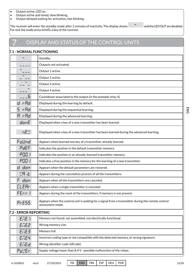• Output active, LED on.

7

- Output active and timed, slow blinking.
- Output delayed waiting for activation, fast blinking.

 $\overline{\phantom{0}}$ The receiver will enter the standby mode after 2 minutes of inactivity. The display shows and the LED OUT are disabled. For exit the mode press briefly a key of the receiver.

# DISPLAY AND STATUS OF THE CONTROL UNITS

# **7.1 - NORMAL FUNCTIONING**

|              | Standby.                                                                                                               |
|--------------|------------------------------------------------------------------------------------------------------------------------|
|              | Outputs not activated.                                                                                                 |
|              | Output 1 active.                                                                                                       |
|              | Output 2 active.                                                                                                       |
|              | Output 3 active.                                                                                                       |
|              | Output 4 active.                                                                                                       |
|              | Countdown associated to the output (in the example relay 4).                                                           |
| d rRd        | Displayed during the learning by default.                                                                              |
| 5<br>r Rd    | Displayed during the sequential learning.                                                                              |
| A rAd        | Displayed during the advanced learning.                                                                                |
| donE         | Displayed when a key of a new transmitter has been learned.                                                            |
| nE"          | Displayed when a key of a new transmitter has been learned during the advanced learning.                               |
| Folind       | Appears when learned one key of a transmitter already learned.                                                         |
| PdEF         | Indicates the position in the default transmitter memory.                                                              |
| P00 I        | Indicates the position in an already-learned transmitter memory.                                                       |
| P00 I        | Indicates a free position in the memory for the learning of a new transmitter.                                         |
| d don        | Appears when the default parameters are restored.                                                                      |
| 고요 군         | Appears during the cancelation process of all the transmitters.                                                        |
| F<br>don     | Appears when all the transmitters are canceled.                                                                        |
| <b>CLEAr</b> | Appears when a single transmitter is canceled.                                                                         |
| FErr I       | Appears during the reset of the transmitters, if memory is not present.                                                |
| <b>PrESS</b> | Appears when the control unit is waiting for a signal from a transmitter during the remote control<br>assessment mode. |

## **7.2 - ERROR REPORTING**

| ENE I                                    | Memory not found, not assembled, not electrically functional.                         |
|------------------------------------------|---------------------------------------------------------------------------------------|
| ENE2                                     | Wrong memory size.                                                                    |
| ENEE                                     | Memory full.                                                                          |
| <b>ENEY</b>                              | Incorrect coding type or not compatible with the detected memory, or wrong signature. |
| EriEd<br>Wrong identifier code (IdCode). |                                                                                       |
| Pa!Er                                    | Supply voltage lower than 8.4 V - possible malfunction of the relays.                 |

6-1620022 rev.0 27/10/2015 ITA ENG FRA ESP DEU POR 13/20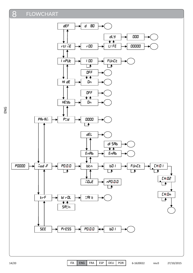#### 8 FLOWCHART

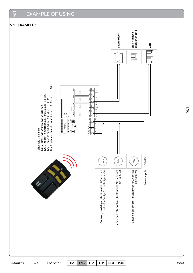#### $\overline{Q}$ EXAMPLE OF USING

# **9.1 - EXAMPLE 1**

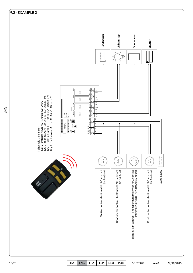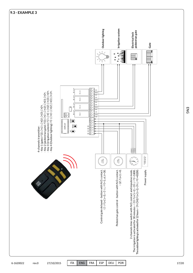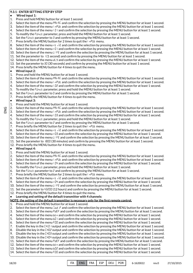#### **9.3.1 - ENTER SETTING STEP BY STEP**

#### **• Wired input 1:**

- 1. Press and hold MENU button for at least 1 second.
- 2. Select the item of the menu PR-Rii and confirm the selection by pressing the MENU button for at least 1 second.
- 3. Select the item of the menu  $I \cap P \cup I$  and confirm the selection by pressing the MENU button for at least 1 second.
- 4. Select the item of the menu I D I and confirm the selection by pressing the MENU button for at least 1 second.
- 5. To modify the FUnck parameter, press and hold the MENU button for at least 1 second.
- 6. Set the FU<sub>nck</sub> parameter to  $\frac{3}{5}$  and confirm by pressing the MENU button for at least 1 second.
- 7. Press briefly the MENU button for 2 times to quit the  $I_1$   $n$ PUE menu.
- 8. Select the item of the menu  $\epsilon F$  in E and confirm the selection by pressing the MENU button for at least 1 second.
- 9. Select the item of the menu  $r\theta$  and confirm the selection by pressing the MENU button for at least 1 second.
- 10. Select the item of the menu LIFE and confirm the selection by pressing the MENU button for at least 1 second.
- 11. Set the parameter to 1 (1 second) and confirm by pressing the MENU button for at least 1 second.
- 12. Select the item of the menu dLY and confirm the selection by pressing the MENU button for at least 1 second.
- 13. Set the parameter to 30 (30 seconds) and confirm by pressing the MENU button for at least 1 second.
- 14. Press briefly the MENU button for 4 times to quit the menu.

# **• Wired input 2:**

- 1. Press and hold the MENU button for at least 1 second.
- 2. Select the item of the menu  $PBrB\bar{G}$  and confirm the selection by pressing the MENU button for at least 1 second.
- 3. Select the item of the menu  $I_1$   $nPL$  and confirm the selection by pressing the MENU button for at least 1 second.
- 4. Select the item of the menu  $I_1$   $B_1$  and confirm the selection by pressing the MENU button for at least 1 second.
- 5. To modify the  $Fln \in$  parameter, press and hold the MENU button for at least 1 second.
- 6. Set the FUnct parameter to  $0$  and confirm by pressing the MENU button for at least 1 second.
- 7. Press briefly the MENU button for 4 times to quit the menu.

**• Wired input 3:**

ENG

- 1. Press and hold the MENU button for at least 1 second.
- 2. Select the item of the menu  $PBrBr$  and confirm the selection by pressing the MENU button for at least 1 second.
- 3. Select the item of the menu  $I \cap P \cup I$  and confirm the selection by pressing the MENU button for at least 1 second.
- 4. Select the item of the menu  $I_1$   $I_2$  and confirm the selection by pressing the MENU button for at least 1 second. 5. To modify the Funct parameter, press and hold the MENU button for at least 1 second.
- 6. Set the Funct parameter to  $\vec{c}$  and confirm by pressing the MENU button for at least 1 second.
- 7. Press briefly the MENU button for 2 times to quit the  $I_1$   $n$ PUE menu.
- 8. Select the item of the menu  $\epsilon F$  in E and confirm the selection by pressing the MENU button for at least 1 second.
- 9. Select the item of the menu  $r\theta$  and confirm the selection by pressing the MENU button for at least 1 second.
- 10. Select the item of the menu LIFE and confirm the selection by pressing the MENU button for at least 1 second.
- 11. Set the parameter to IBDD (30 minutes) and confirm by pressing the MENU button for at least 1 second.
- 12. Press briefly the MENU button for 4 times to quit the menu.

## **• Wired input 4:**

- 1. Press and hold the MENU button for at least 1 second.
- 2. Select the item of the menu PR-Rii and confirm the selection by pressing the MENU button for at least 1 second.
- 3. Select the item of the menu  $I \cap P \cup L$  and confirm the selection by pressing the MENU button for at least 1 second.
- 4. Select the item of the menu  $I_1$   $I_2$  and confirm the selection by pressing the MENU button for at least 1 second.
- 5. To modify the  $Fln \in$  parameter, press and hold the MENU button for at least 1 second.
- 6. Set the Funct parameter to  $\bar{c}$  and confirm by pressing the MENU button for at least 1 second.
- 7. Press briefly the MENU button for 2 times to quit the  $I \cap P$ UE menu.
- 8. Select the item of the menu  $\epsilon$  in E and confirm the selection by pressing the MENU button for at least 1 second.
- 9. Select the item of the menu  $rD+$  and confirm the selection by pressing the MENU button for at least 1 second.
- 10. Select the item of the menu LIFE and confirm the selection by pressing the MENU button for at least 1 second.
- 11. Set the parameter to 43200 (12 hours) and confirm by pressing the MENU button for at least 1 second.
- 12. Press briefly the MENU button for 4 times to quit the menu.

# **• Learning and setting of the default transmitter with 4 channels:**

- **NOTE: the setting of the default transmitter is necessary only for the first remote control.**
- 1. Press and hold the MENU button for at least 1 second.
- 2. Select the item of the menu  $\vec{h}$  and confirm the selection by pressing the MENU button for at least 1 second.
- 3. Select the item of the menu PdEF and confirm the selection by pressing the MENU button for at least 1 second.
- 4. Select the item of the menu  $b \vdash n$  and confirm the selection by pressing the MENU button for at least 1 second.
- 5. Select the item of the menu  $b\bar{a}$  l and confirm the selection by pressing the MENU button for at least 1 second.
- 6. Select the item of the menu FDD and confirm the selection by pressing the MENU button for at least 1 second.
- 7. Enable the key in the  $L_H:0<sub>I</sub>$  toutput and confirm the selection by pressing the MENU button for at least 1 second.
- 8. Disable the key in the CHO2 output and confirm the selection by pressing the MENU button for at least 1 second.
- 9. Disable the key in the CHO3 output and confirm the selection by pressing the MENU button for at least 1 second.
- 10. Disable the key in the CH<sub>04</sub> output and confirm the selection by pressing the MENU button for at least 1 second. 11. Select the item of the menu PdEF and confirm the selection by pressing the MENU button for at least 1 second.
- 12. Select the item of the menu ben and confirm the selection by pressing the MENU button for at least 1 second.
- 13. Select the item of the menu bD2 and confirm the selection by pressing the MENU button for at least 1 second.
- 14. Select the item of the menu FDD and confirm the selection by pressing the MENU button for at least 1 second.
- 

18/20 ITA ENG FRA ESP DEU POR 6-1620022 rev.0 27/10/2015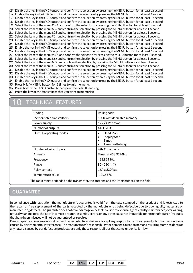- $15.$  Disable the key in the CHO I output and confirm the selection by pressing the MENU button for at least 1 second. 16. Enable the key in the  $LH:0Z$  output and confirm the selection by pressing the MENU button for at least 1 second. 17. Disable the key in the  $L$ H03 output and confirm the selection by pressing the MENU button for at least 1 second.  $18.$  Disable the key in the  $E$ H<sub>0</sub>4 output and confirm the selection by pressing the MENU button for at least 1 second. 19. Select the item of the menu  $PdEF$  and confirm the selection by pressing the MENU button for at least 1 second. 20. Select the item of the menu ben and confirm the selection by pressing the MENU button for at least 1 second. 21. Select the item of the menu  $b\bar{B}$  and confirm the selection by pressing the MENU button for at least 1 second. 22. Select the item of the menu FD I and confirm the selection by pressing the MENU button for at least 1 second. 23. Disable the key in the CHO1 output and confirm the selection by pressing the MENU button for at least 1 second. 24. Disable the key in the CHO2 output and confirm the selection by pressing the MENU button for at least 1 second. 25. Enable the key in the CH:03 output and confirm the selection by pressing the MENU button for at least 1 second.  $26.$  Disable the key in the <code>CHQ4</code> output and confirm the selection by pressing the MENU button for at least 1 second.  $27.$  Select the item of the menu PdEF and confirm the selection by pressing the MENU button for at least 1 second. 28. Select the item of the menu ben and confirm the selection by pressing the MENU button for at least 1 second.  $29.$  Select the item of the menu  $bD4$  and confirm the selection by pressing the MENU button for at least 1 second.  $30.$  Select the item of the menu FD I and confirm the selection by pressing the MENU button for at least 1 second.  $31.$  Disable the key in the CHO I output and confirm the selection by pressing the MENU button for at least 1 second. 32. Disable the key in the CHO2 output and confirm the selection by pressing the MENU button for at least 1 second.
- 33. Disable the key in the CHO3 output and confirm the selection by pressing the MENU button for at least 1 second.  $34.$  Enable the key in the  $L_H:0^H$  output and confirm the selection by pressing the MENU button for at least 1 second.
- 35. Press briefly MENU button for 2 times to quit the menu.
- $36.$  Press briefly the UP (+) button to carry out the default learning.
- 37. Press the key of the transmitter that you want to memorize.

# **TECHNICAL FEATURES**

| Coding                   | Rolling code                                                                                              |
|--------------------------|-----------------------------------------------------------------------------------------------------------|
| Memorisable transmitters | 1000 with dedicated memory                                                                                |
| Power supply             | 12 / 24 Vdc / Vac                                                                                         |
| Number of outputs        | 4 N.O./N.C.                                                                                               |
| Outputs operating modes  | Dead Man<br>$\bullet$<br>Step by Step<br>$\bullet$<br>Timed<br>$\bullet$<br>Timed with delay<br>$\bullet$ |
| Number of wired inputs   | 4 (N.O. contact)                                                                                          |
| Antenna                  | Tuned at 433.92 MHz                                                                                       |
| Frequency                | 433.92 MHz                                                                                                |
| Range                    | $80 - 250$ m $(*)$                                                                                        |
| Relay contact            | 16A a 230 Vac                                                                                             |
| Temperature of use       | $-1055$ °C                                                                                                |

\* The radio range depends on the transmitter, the antenna and the interferences on the field.

# GUARANTEE

In compliance with legislation, the manufacturer's guarantee is valid from the date stamped on the product and is restricted to the repair or free replacement of the parts accepted by the manufacturer as being defective due to poor quality materials or manufacturing defects. The guarantee does not cover damage or defects caused by external agents, faulty maintenance, overloading, natural wear and tear, choice of incorrect product, assembly errors, or any other cause not imputable to the manufacturer. Products that have been misused will not be guaranteed or repaired.

Printed specifications are only indicative. The manufacturer does not accept any responsibility for range reductions or malfunctions caused by environmental interference. The manufacturer's responsibility for damage caused to persons resulting from accidents of any nature caused by our defective products, are only those responsibilities that come under Italian law.